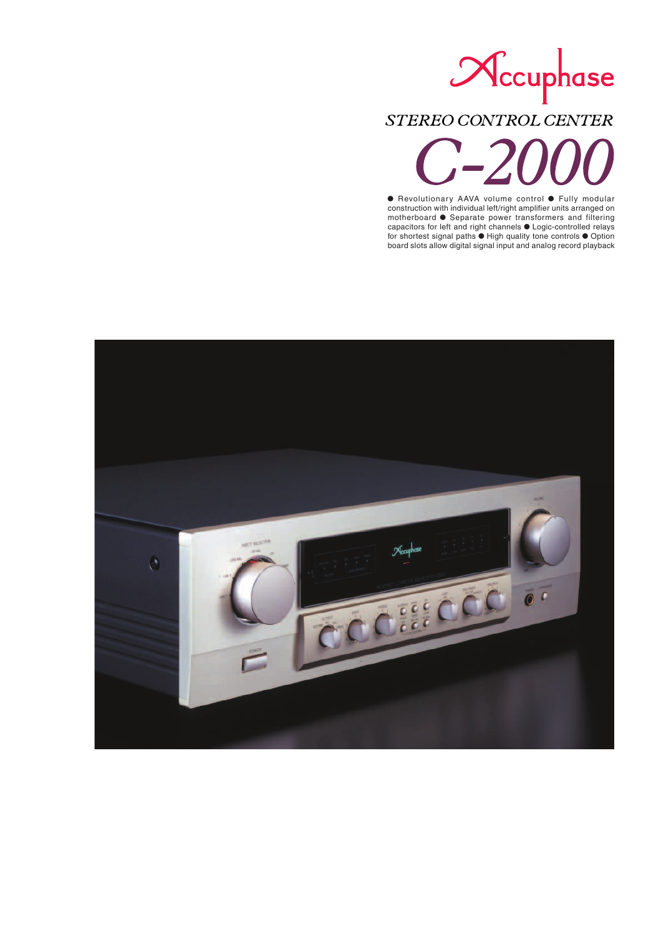# Necuphase STEREO CONTROL CENTER

**•** Revolutionary AAVA volume control • Fully modular construction with individual left/right amplifier units arranged on motherboard  $\bullet$  Separate power transformers and filtering capacitors for left and right channels  $\bullet$  Logic-controlled relays for shortest signal paths  $\bullet$  High quality tone controls  $\bullet$  Option board slots allow digital signal input and analog record playback

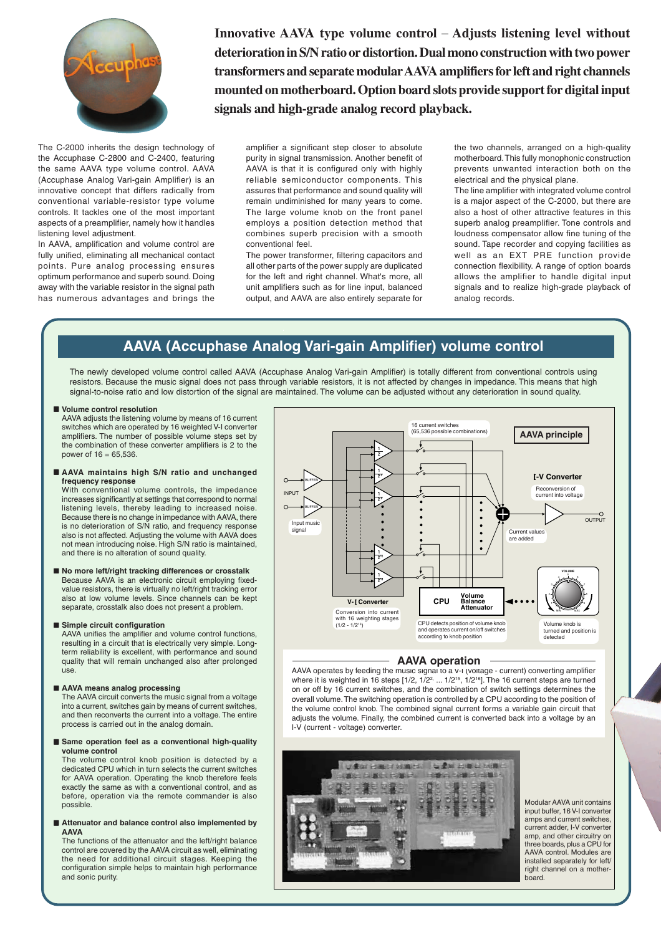

**Innovative AAVA type volume control Adjusts listening level without deterioration in S/N ratio or distortion. Dual mono construction with two power transformers and separate modular AAVA amplifiers for left and right channels mounted on motherboard. Option board slots provide support for digital input signals and high-grade analog record playback.**

The C-2000 inherits the design technology of the Accuphase C-2800 and C-2400, featuring the same AAVA type volume control. AAVA (Accuphase Analog Vari-gain Amplifier) is an innovative concept that differs radically from conventional variable-resistor type volume controls. It tackles one of the most important aspects of a preamplifier, namely how it handles listening level adjustment.

In AAVA, amplification and volume control are fully unified, eliminating all mechanical contact points. Pure analog processing ensures optimum performance and superb sound. Doing away with the variable resistor in the signal path has numerous advantages and brings the

amplifier a significant step closer to absolute purity in signal transmission. Another benefit of AAVA is that it is configured only with highly reliable semiconductor components. This assures that performance and sound quality will remain undiminished for many years to come. The large volume knob on the front panel employs a position detection method that combines superb precision with a smooth conventional feel.

The power transformer, filtering capacitors and all other parts of the power supply are duplicated for the left and right channel. What's more, all unit amplifiers such as for line input, balanced output, and AAVA are also entirely separate for

the two channels, arranged on a high-quality motherboard. This fully monophonic construction prevents unwanted interaction both on the electrical and the physical plane.

The line amplifier with integrated volume control is a major aspect of the C-2000, but there are also a host of other attractive features in this superb analog preamplifier. Tone controls and loudness compensator allow fine tuning of the sound. Tape recorder and copying facilities as well as an EXT PRE function provide connection flexibility. A range of option boards allows the amplifier to handle digital input signals and to realize high-grade playback of analog records.

## **AAVA (Accuphase Analog Vari-gain Amplifier) volume control**

The newly developed volume control called AAVA (Accuphase Analog Vari-gain Amplifier) is totally different from conventional controls using resistors. Because the music signal does not pass through variable resistors, it is not affected by changes in impedance. This means that high signal-to-noise ratio and low distortion of the signal are maintained. The volume can be adjusted without any deterioration in sound quality.

#### ■ Volume control resolution

AAVA adjusts the listening volume by means of 16 current switches which are operated by 16 weighted V-I converter amplifiers. The number of possible volume steps set by the combination of these converter amplifiers is 2 to the power of 16 = 65,536.

#### n **AAVA maintains high S/N ratio and unchanged frequency response**

With conventional volume controls, the impedance increases significantly at settings that correspond to normal listening levels, thereby leading to increased noise. Because there is no change in impedance with AAVA, there is no deterioration of S/N ratio, and frequency response also is not affected. Adjusting the volume with AAVA does not mean introducing noise. High S/N ratio is maintained, and there is no alteration of sound quality.

#### ■ No more left/right tracking differences or crosstalk Because AAVA is an electronic circuit employing fixedvalue resistors, there is virtually no left/right tracking error also at low volume levels. Since channels can be kept separate, crosstalk also does not present a problem.

#### $\blacksquare$  **Simple circuit configuration**

AAVA unifies the amplifier and volume control functions, resulting in a circuit that is electrically very simple. Longterm reliability is excellent, with performance and sound quality that will remain unchanged also after prolonged use.

#### ■ AAVA means analog processing

The AAVA circuit converts the music signal from a voltage into a current, switches gain by means of current switches, and then reconverts the current into a voltage. The entire process is carried out in the analog domain.

#### ■ Same operation feel as a conventional high-quality **volume control**

The volume control knob position is detected by a dedicated CPU which in turn selects the current switches for AAVA operation. Operating the knob therefore feels exactly the same as with a conventional control, and as before, operation via the remote commander is also possible.

#### ■ Attenuator and balance control also implemented by **AAVA**

The functions of the attenuator and the left/right balance control are covered by the AAVA circuit as well, eliminating the need for additional circuit stages. Keeping the configuration simple helps to maintain high performance and sonic purity.



#### **AAVA operation**

AAVA operates by feeding the music signal to a V-I (voltage - current) converting amplifier where it is weighted in 16 steps  $\left[\frac{1}{2}, \frac{1}{2^2}, \ldots \frac{1}{2^{15}}, \frac{1}{2^{16}}\right]$ . The 16 current steps are turned on or off by 16 current switches, and the combination of switch settings determines the overall volume. The switching operation is controlled by a CPU according to the position of the volume control knob. The combined signal current forms a variable gain circuit that adjusts the volume. Finally, the combined current is converted back into a voltage by an I-V (current - voltage) converter.



Modular AAVA unit contains input buffer, 16 V-I converter amps and current switches, current adder, I-V converter amp, and other circuitry on three boards, plus a CPU for AAVA control. Modules are installed separately for left/ right channel on a motherboard.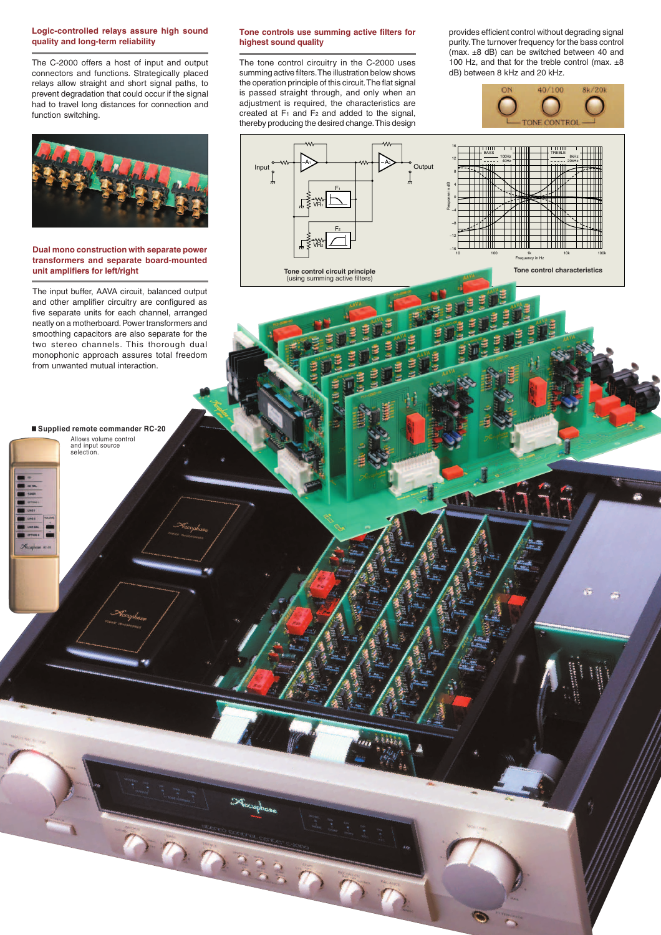#### **Logic-controlled relays assure high sound quality and long-term reliability**

The C-2000 offers a host of input and output connectors and functions. Strategically placed relays allow straight and short signal paths, to prevent degradation that could occur if the signal had to travel long distances for connection and function switching.



#### **Dual mono construction with separate power transformers and separate board-mounted unit amplifiers for left/right**

The input buffer, AAVA circuit, balanced output and other amplifier circuitry are configured as five separate units for each channel, arranged neatly on a motherboard. Power transformers and smoothing capacitors are also separate for the two stereo channels. This thorough dual monophonic approach assures total freedom from unwanted mutual interaction.

n **Supplied remote commander RC-20** Allows volume control and input source selection.

#### **Tone controls use summing active filters for highest sound quality**

The tone control circuitry in the C-2000 uses summing active filters. The illustration below shows the operation principle of this circuit. The flat signal is passed straight through, and only when an adjustment is required, the characteristics are created at F1 and F2 and added to the signal, thereby producing the desired change. This design

VR1

VR2

3337

Input III Coutput  $F<sub>1</sub>$ 

 $F<sub>2</sub>$ 

**Tone control circuit principle**<br>(using summing active filters)

 $-A_1$   $\rightarrow$   $\rightarrow$   $\rightarrow$   $\rightarrow$   $\rightarrow$   $-A_2$ 

Response in dB

16 12 8 4  $^{\circ}$ –4 –8 –12 –16

provides efficient control without degrading signal purity. The turnover frequency for the bass control (max. ±8 dB) can be switched between 40 and 100 Hz, and that for the treble control (max.  $\pm 8$ dB) between 8 kHz and 20 kHz.

40/100

**CONF CONTRO** 

**TITU** 

Frequency in Hz 10 100 1k 10k 100k

**Tone control characteristics**

 $\frac{\text{BASS}}{\text{100Hz}}$  100Hz  $\frac{1}{\frac{1}{2}}$   $\frac{1}{\frac{1}{2}}$   $\frac{1}{\frac{1}{2}}$   $\frac{1}{\frac{1}{2}}$   $\frac{1}{\frac{1}{2}}$   $\frac{1}{\frac{1}{2}}$   $\frac{1}{\frac{1}{2}}$   $\frac{1}{\frac{1}{2}}$   $\frac{1}{\frac{1}{2}}$   $\frac{1}{\frac{1}{2}}$   $\frac{1}{\frac{1}{2}}$   $\frac{1}{\frac{1}{2}}$   $\frac{1}{\frac{1}{2}}$  40Hz | | | || || | | | ----- 20kHz

8kHz

**Sk/20k**